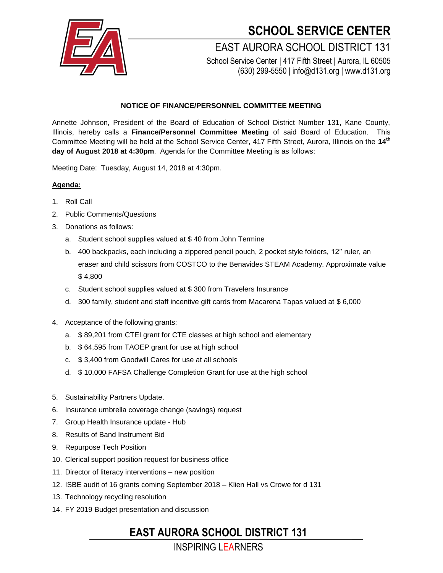

## **SCHOOL SERVICE CENTER**

EAST AURORA SCHOOL DISTRICT 131 School Service Center | 417 Fifth Street | Aurora, IL 60505

(630) 299-5550 | info@d131.org | www.d131.org

#### **NOTICE OF FINANCE/PERSONNEL COMMITTEE MEETING**

Annette Johnson, President of the Board of Education of School District Number 131, Kane County, Illinois, hereby calls a **Finance/Personnel Committee Meeting** of said Board of Education. This Committee Meeting will be held at the School Service Center, 417 Fifth Street, Aurora, Illinois on the **14 th day of August 2018 at 4:30pm**. Agenda for the Committee Meeting is as follows:

Meeting Date: Tuesday, August 14, 2018 at 4:30pm.

#### **Agenda:**

- 1. Roll Call
- 2. Public Comments/Questions
- 3. Donations as follows:
	- a. Student school supplies valued at \$ 40 from John Termine
	- b. 400 backpacks, each including a zippered pencil pouch, 2 pocket style folders, 12'' ruler, an eraser and child scissors from COSTCO to the Benavides STEAM Academy. Approximate value \$ 4,800
	- c. Student school supplies valued at \$ 300 from Travelers Insurance
	- d. 300 family, student and staff incentive gift cards from Macarena Tapas valued at \$ 6,000
- 4. Acceptance of the following grants:
	- a. \$ 89,201 from CTEI grant for CTE classes at high school and elementary
	- b. \$ 64,595 from TAOEP grant for use at high school
	- c. \$ 3,400 from Goodwill Cares for use at all schools
	- d. \$ 10,000 FAFSA Challenge Completion Grant for use at the high school
- 5. Sustainability Partners Update.
- 6. Insurance umbrella coverage change (savings) request
- 7. Group Health Insurance update Hub
- 8. Results of Band Instrument Bid
- 9. Repurpose Tech Position
- 10. Clerical support position request for business office
- 11. Director of literacy interventions new position
- 12. ISBE audit of 16 grants coming September 2018 Klien Hall vs Crowe for d 131
- 13. Technology recycling resolution
- 14. FY 2019 Budget presentation and discussion

### **EAST AURORA SCHOOL DISTRICT 131**